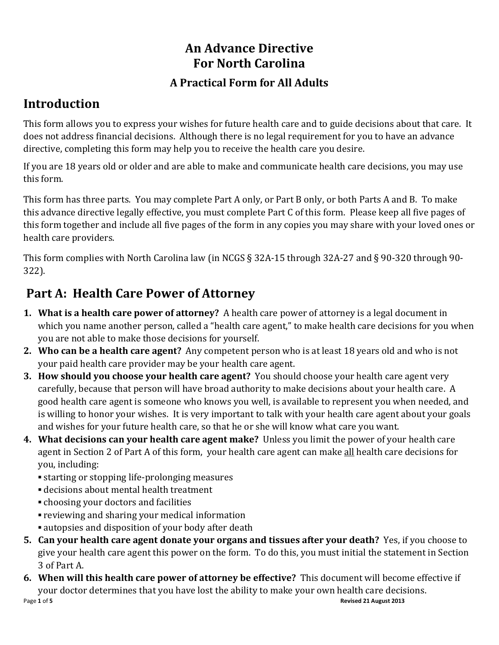# An Advance Directive For North Carolina

### A Practical Form for All Adults

## Introduction

This form allows you to express your wishes for future health care and to guide decisions about that care. It does not address financial decisions. Although there is no legal requirement for you to have an advance directive, completing this form may help you to receive the health care you desire.

If you are 18 years old or older and are able to make and communicate health care decisions, you may use this form.

This form has three parts. You may complete Part A only, or Part B only, or both Parts A and B. To make this advance directive legally effective, you must complete Part C of this form. Please keep all five pages of this form together and include all five pages of the form in any copies you may share with your loved ones or health care providers.

This form complies with North Carolina law (in NCGS § 32A-15 through 32A-27 and § 90-320 through 90- 322).

## Part A: Health Care Power of Attorney

- 1. What is a health care power of attorney? A health care power of attorney is a legal document in which you name another person, called a "health care agent," to make health care decisions for you when you are not able to make those decisions for yourself.
- 2. Who can be a health care agent? Any competent person who is at least 18 years old and who is not your paid health care provider may be your health care agent.
- 3. How should you choose your health care agent? You should choose your health care agent very carefully, because that person will have broad authority to make decisions about your health care. A good health care agent is someone who knows you well, is available to represent you when needed, and is willing to honor your wishes. It is very important to talk with your health care agent about your goals and wishes for your future health care, so that he or she will know what care you want.
- 4. What decisions can your health care agent make? Unless you limit the power of your health care agent in Section 2 of Part A of this form, your health care agent can make all health care decisions for you, including:
	- **Example 3 is starting or stopping life-prolonging measures**
	- *Exercisions about mental health treatment*
	- choosing your doctors and facilities
	- **reviewing and sharing your medical information**
	- autopsies and disposition of your body after death
- 5. Can your health care agent donate your organs and tissues after your death? Yes, if you choose to give your health care agent this power on the form. To do this, you must initial the statement in Section 3 of Part A.
- Page 1 of 5 Revised 21 August 2013 6. When will this health care power of attorney be effective? This document will become effective if your doctor determines that you have lost the ability to make your own health care decisions.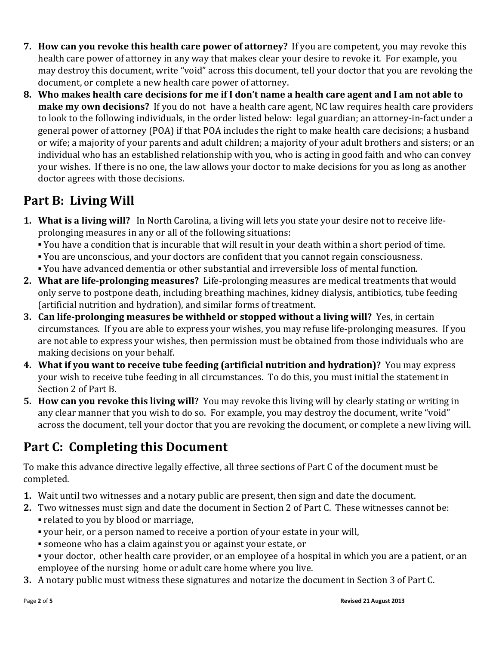- 7. How can you revoke this health care power of attorney? If you are competent, you may revoke this health care power of attorney in any way that makes clear your desire to revoke it. For example, you may destroy this document, write "void" across this document, tell your doctor that you are revoking the document, or complete a new health care power of attorney.
- 8. Who makes health care decisions for me if I don't name a health care agent and I am not able to make my own decisions? If you do not have a health care agent, NC law requires health care providers to look to the following individuals, in the order listed below: legal guardian; an attorney-in-fact under a general power of attorney (POA) if that POA includes the right to make health care decisions; a husband or wife; a majority of your parents and adult children; a majority of your adult brothers and sisters; or an individual who has an established relationship with you, who is acting in good faith and who can convey your wishes. If there is no one, the law allows your doctor to make decisions for you as long as another doctor agrees with those decisions.

## Part B: Living Will

- 1. What is a living will? In North Carolina, a living will lets you state your desire not to receive lifeprolonging measures in any or all of the following situations:
	- You have a condition that is incurable that will result in your death within a short period of time.
	- You are unconscious, and your doctors are confident that you cannot regain consciousness.
	- You have advanced dementia or other substantial and irreversible loss of mental function.
- 2. What are life-prolonging measures? Life-prolonging measures are medical treatments that would only serve to postpone death, including breathing machines, kidney dialysis, antibiotics, tube feeding (artificial nutrition and hydration), and similar forms of treatment.
- 3. Can life-prolonging measures be withheld or stopped without a living will? Yes, in certain circumstances. If you are able to express your wishes, you may refuse life-prolonging measures. If you are not able to express your wishes, then permission must be obtained from those individuals who are making decisions on your behalf.
- 4. What if you want to receive tube feeding (artificial nutrition and hydration)? You may express your wish to receive tube feeding in all circumstances. To do this, you must initial the statement in Section 2 of Part B.
- 5. How can you revoke this living will? You may revoke this living will by clearly stating or writing in any clear manner that you wish to do so. For example, you may destroy the document, write "void" across the document, tell your doctor that you are revoking the document, or complete a new living will.

# Part C: Completing this Document

To make this advance directive legally effective, all three sections of Part C of the document must be completed.

- 1. Wait until two witnesses and a notary public are present, then sign and date the document.
- 2. Two witnesses must sign and date the document in Section 2 of Part C. These witnesses cannot be: ▪ related to you by blood or marriage,
	- your heir, or a person named to receive a portion of your estate in your will,
	- someone who has a claim against you or against your estate, or
	- your doctor, other health care provider, or an employee of a hospital in which you are a patient, or an employee of the nursing home or adult care home where you live.
- 3. A notary public must witness these signatures and notarize the document in Section 3 of Part C.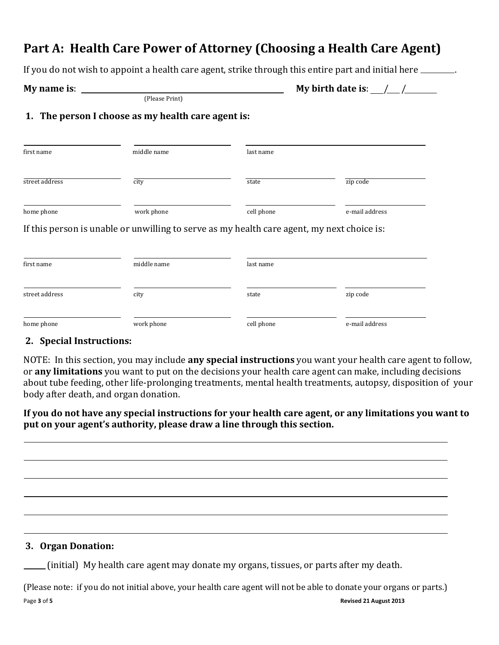### Part A: Health Care Power of Attorney (Choosing a Health Care Agent)

If you do not wish to appoint a health care agent, strike through this entire part and initial here \_\_\_\_\_\_.

### My name is: My birth date is: / /

(Please Print)

### 1. The person I choose as my health care agent is:

| first name     | middle name | last name  |                |
|----------------|-------------|------------|----------------|
| street address | city        | state      | zip code       |
| home phone     | work phone  | cell phone | e-mail address |

If this person is unable or unwilling to serve as my health care agent, my next choice is:

| first name     | middle name | last name  |                |
|----------------|-------------|------------|----------------|
| street address | city        | state      | zip code       |
| home phone     | work phone  | cell phone | e-mail address |

### 2. Special Instructions:

NOTE: In this section, you may include any special instructions you want your health care agent to follow, or any limitations you want to put on the decisions your health care agent can make, including decisions about tube feeding, other life-prolonging treatments, mental health treatments, autopsy, disposition of your body after death, and organ donation.

If you do not have any special instructions for your health care agent, or any limitations you want to put on your agent's authority, please draw a line through this section.

#### 3. Organ Donation:

(initial) My health care agent may donate my organs, tissues, or parts after my death.

Page 3 of 5 Revised 21 August 2013 (Please note: if you do not initial above, your health care agent will not be able to donate your organs or parts.)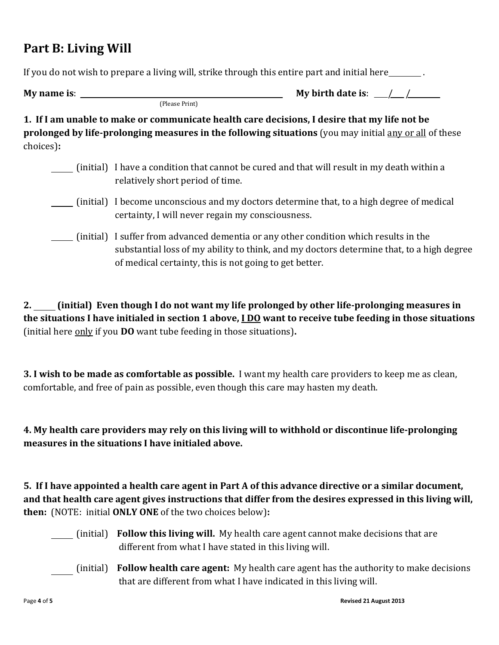### Part B: Living Will

If you do not wish to prepare a living will, strike through this entire part and initial here .

My name is:  $\frac{1}{2}$  My birth date is:  $\frac{1}{2}$  /

(Please Print)

1. If I am unable to make or communicate health care decisions, I desire that my life not be prolonged by life-prolonging measures in the following situations (you may initial any or all of these choices):

- (initial) I have a condition that cannot be cured and that will result in my death within a relatively short period of time.
- (initial) I become unconscious and my doctors determine that, to a high degree of medical certainty, I will never regain my consciousness.
- (initial) I suffer from advanced dementia or any other condition which results in the substantial loss of my ability to think, and my doctors determine that, to a high degree of medical certainty, this is not going to get better.

2. (initial) Even though I do not want my life prolonged by other life-prolonging measures in the situations I have initialed in section 1 above,  $1D0$  want to receive tube feeding in those situations (initial here only if you DO want tube feeding in those situations).

3. I wish to be made as comfortable as possible. I want my health care providers to keep me as clean, comfortable, and free of pain as possible, even though this care may hasten my death.

4. My health care providers may rely on this living will to withhold or discontinue life-prolonging measures in the situations I have initialed above.

5. If I have appointed a health care agent in Part A of this advance directive or a similar document, and that health care agent gives instructions that differ from the desires expressed in this living will, then: (NOTE: initial ONLY ONE of the two choices below):

- (initial) **Follow this living will.** My health care agent cannot make decisions that are different from what I have stated in this living will.
- (initial) Follow health care agent: My health care agent has the authority to make decisions that are different from what I have indicated in this living will.